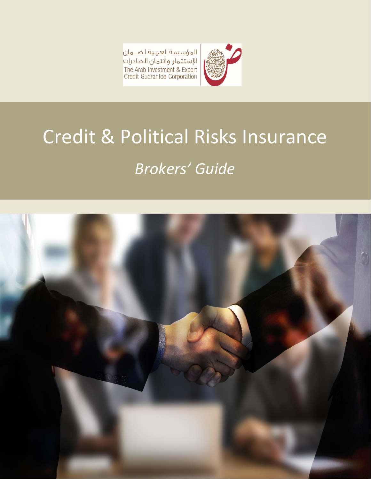المؤسسة العربية لضــمان<mark>.</mark> الإستثمار وائتمان الصادرات The Arab Investment & Export<br>Credit Guarantee Corporation



# Credit & Political Risks Insurance *Brokers' Guide*

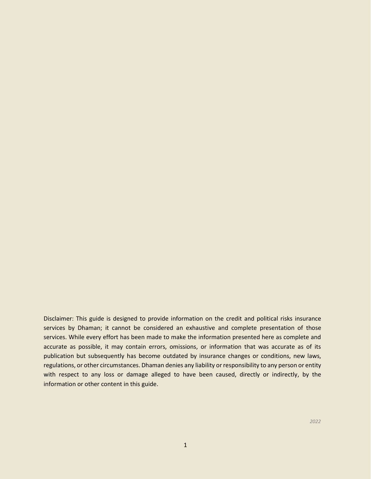Disclaimer: This guide is designed to provide information on the credit and political risks insurance services by Dhaman; it cannot be considered an exhaustive and complete presentation of those services. While every effort has been made to make the information presented here as complete and accurate as possible, it may contain errors, omissions, or information that was accurate as of its publication but subsequently has become outdated by insurance changes or conditions, new laws, regulations, or other circumstances. Dhaman denies any liability or responsibility to any person or entity with respect to any loss or damage alleged to have been caused, directly or indirectly, by the information or other content in this guide.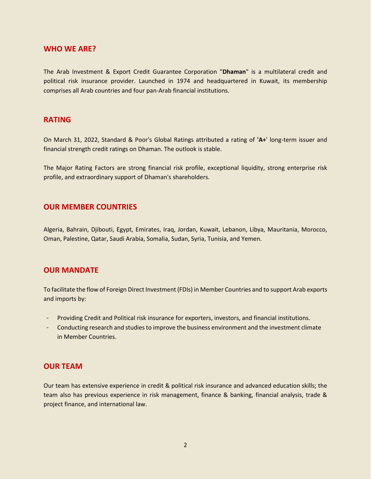#### **WHO WE ARE?**

The Arab Investment & Export Credit Guarantee Corporation "**Dhaman**" is a multilateral credit and political risk insurance provider. Launched in 1974 and headquartered in Kuwait, its membership comprises all Arab countries and four pan-Arab financial institutions.

## **RATING**

On March 31, 2022, Standard & Poor's Global Ratings attributed a rating of **'A+**' long-term issuer and financial strength credit ratings on Dhaman. The outlook is stable.

The Major Rating Factors are strong financial risk profile, exceptional liquidity, strong enterprise risk profile, and extraordinary support of Dhaman's shareholders.

# **OUR MEMBER COUNTRIES**

Algeria, Bahrain, Djibouti, Egypt, Emirates, Iraq, Jordan, Kuwait, Lebanon, Libya, Mauritania, Morocco, Oman, Palestine, Qatar, Saudi Arabia, Somalia, Sudan, Syria, Tunisia, and Yemen.

#### **OUR MANDATE**

To facilitate the flow of Foreign Direct Investment (FDIs) in Member Countries and to support Arab exports and imports by:

- Providing Credit and Political risk insurance for exporters, investors, and financial institutions.
- Conducting research and studies to improve the business environment and the investment climate in Member Countries.

#### **OUR TEAM**

Our team has extensive experience in credit & political risk insurance and advanced education skills; the team also has previous experience in risk management, finance & banking, financial analysis, trade & project finance, and international law.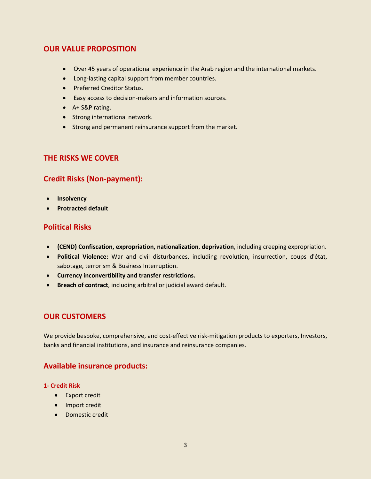# **OUR VALUE PROPOSITION**

- Over 45 years of operational experience in the Arab region and the international markets.
- Long-lasting capital support from member countries.
- Preferred Creditor Status.
- Easy access to decision-makers and information sources.
- A+ S&P rating.
- Strong international network.
- Strong and permanent reinsurance support from the market.

## **THE RISKS WE COVER**

# **Credit Risks (Non-payment):**

- **Insolvency**
- **Protracted default**

# **Political Risks**

- **(CEND) Confiscation, expropriation, nationalization**, **deprivation**, including creeping expropriation.
- **Political Violence:** War and civil disturbances, including revolution, insurrection, coups d'état, sabotage, terrorism & Business Interruption.
- **Currency inconvertibility and transfer restrictions.**
- **Breach of contract**, including arbitral or judicial award default.

# **OUR CUSTOMERS**

We provide bespoke, comprehensive, and cost-effective risk-mitigation products to exporters, Investors, banks and financial institutions, and insurance and reinsurance companies.

# **Available insurance products:**

#### **1- Credit Risk**

- Export credit
- Import credit
- Domestic credit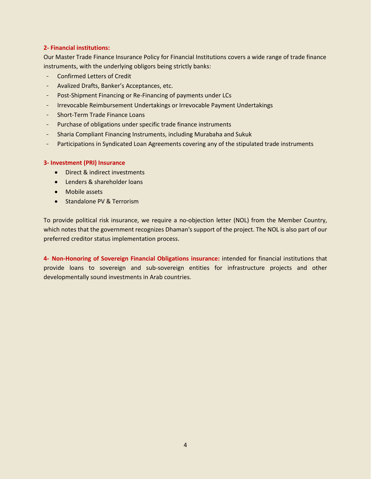#### **2- Financial institutions:**

Our Master Trade Finance Insurance Policy for Financial Institutions covers a wide range of trade finance instruments, with the underlying obligors being strictly banks:

- Confirmed Letters of Credit
- Avalized Drafts, Banker's Acceptances, etc.
- Post-Shipment Financing or Re-Financing of payments under LCs
- Irrevocable Reimbursement Undertakings or Irrevocable Payment Undertakings
- Short-Term Trade Finance Loans
- Purchase of obligations under specific trade finance instruments
- Sharia Compliant Financing Instruments, including Murabaha and Sukuk
- Participations in Syndicated Loan Agreements covering any of the stipulated trade instruments

#### **3- Investment (PRI) Insurance**

- Direct & indirect investments
- Lenders & shareholder loans
- Mobile assets
- Standalone PV & Terrorism

To provide political risk insurance, we require a no-objection letter (NOL) from the Member Country, which notes that the government recognizes Dhaman's support of the project. The NOL is also part of our preferred creditor status implementation process.

**4- Non-Honoring of Sovereign Financial Obligations insurance:** intended for financial institutions that provide loans to sovereign and sub-sovereign entities for infrastructure projects and other developmentally sound investments in Arab countries.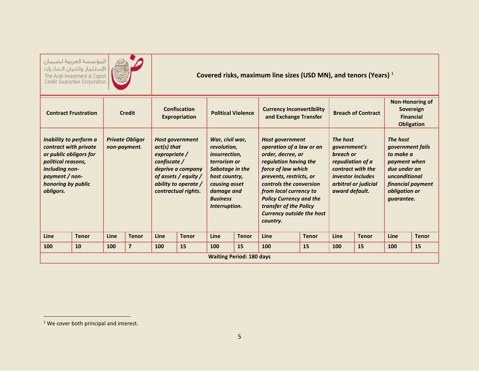المؤسسة العربية لضمان ||الإستثمار وائتمان الصادرات<br>|الإستثمار وائتمان الصادرات<br>| Credit Guarantee Corporation



**Covered risks, maximum line sizes (USD MN), and tenors (Years)** <sup>1</sup> 

| <b>Contract Frustration</b>                                                                                                                                            |              | <b>Credit</b>                          |                         | <b>Confiscation</b><br><b>Expropriation</b>                                                                                                                         |              | <b>Political Violence</b>                                                                                                                                                     |              | <b>Currency Inconvertibility</b><br>and Exchange Transfer                                                                                                                                                                                                                                                          |              | <b>Breach of Contract</b>                                                                                                                                   |              | Non-Honoring of<br>Sovereign<br><b>Financial</b><br><b>Obligation</b>                                                                                        |              |
|------------------------------------------------------------------------------------------------------------------------------------------------------------------------|--------------|----------------------------------------|-------------------------|---------------------------------------------------------------------------------------------------------------------------------------------------------------------|--------------|-------------------------------------------------------------------------------------------------------------------------------------------------------------------------------|--------------|--------------------------------------------------------------------------------------------------------------------------------------------------------------------------------------------------------------------------------------------------------------------------------------------------------------------|--------------|-------------------------------------------------------------------------------------------------------------------------------------------------------------|--------------|--------------------------------------------------------------------------------------------------------------------------------------------------------------|--------------|
| Inability to perform a<br>contract with private<br>or public obligors for<br>political reasons,<br>including non-<br>payment / non-<br>honoring by public<br>obligors. |              | <b>Private Obligor</b><br>non-payment. |                         | <b>Host government</b><br>$act(s)$ that<br>expropriate /<br>confidence/<br>deprive a company<br>of assets / equity /<br>ability to operate /<br>contractual rights. |              | War, civil war,<br>revolution,<br><i>insurrection,</i><br>terrorism or<br>Sabotage in the<br>host country,<br>causing asset<br>damage and<br><b>Business</b><br>Interruption. |              | <b>Host government</b><br>operation of a law or an<br>order, decree, or<br>regulation having the<br>force of law which<br>prevents, restricts, or<br>controls the conversion<br>from local currency to<br><b>Policy Currency and the</b><br>transfer of the Policy<br><b>Currency outside the host</b><br>country. |              | The host<br><i>aovernment's</i><br>breach or<br>repudiation of a<br>contract with the<br><i>investor includes</i><br>arbitral or judicial<br>award default. |              | The host<br><i>government fails</i><br>to make a<br>payment when<br>due under an<br>unconditional<br>financial payment<br>obligation or<br><i>guarantee.</i> |              |
| Line                                                                                                                                                                   | <b>Tenor</b> | Line                                   | <b>Tenor</b>            | <b>Line</b>                                                                                                                                                         | <b>Tenor</b> | <b>Line</b>                                                                                                                                                                   | <b>Tenor</b> | Line                                                                                                                                                                                                                                                                                                               | <b>Tenor</b> | <b>Line</b>                                                                                                                                                 | <b>Tenor</b> | Line                                                                                                                                                         | <b>Tenor</b> |
| 100                                                                                                                                                                    | 10           | 100                                    | $\overline{\mathbf{z}}$ | 100                                                                                                                                                                 | 15           | 100                                                                                                                                                                           | 15           | 100                                                                                                                                                                                                                                                                                                                | 15           | 100                                                                                                                                                         | 15           | 100                                                                                                                                                          | 15           |
| <b>Waiting Period: 180 days</b>                                                                                                                                        |              |                                        |                         |                                                                                                                                                                     |              |                                                                                                                                                                               |              |                                                                                                                                                                                                                                                                                                                    |              |                                                                                                                                                             |              |                                                                                                                                                              |              |

<sup>&</sup>lt;sup>1</sup> We cover both principal and interest.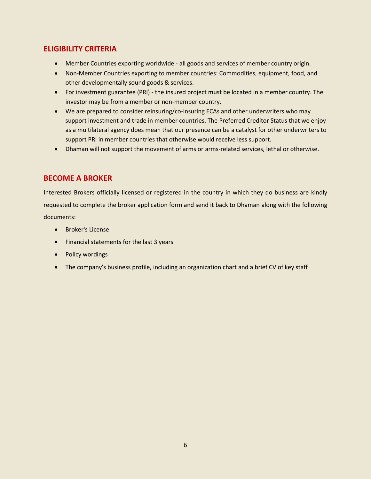# **ELIGIBILITY CRITERIA**

- Member Countries exporting worldwide all goods and services of member country origin.
- Non-Member Countries exporting to member countries: Commodities, equipment, food, and other developmentally sound goods & services.
- For investment guarantee (PRI) the insured project must be located in a member country. The investor may be from a member or non-member country.
- We are prepared to consider reinsuring/co-insuring ECAs and other underwriters who may support investment and trade in member countries. The Preferred Creditor Status that we enjoy as a multilateral agency does mean that our presence can be a catalyst for other underwriters to support PRI in member countries that otherwise would receive less support.
- Dhaman will not support the movement of arms or arms-related services, lethal or otherwise.

# **BECOME A BROKER**

Interested Brokers officially licensed or registered in the country in which they do business are kindly requested to complete the broker application form and send it back to Dhaman along with the following documents:

- Broker's License
- Financial statements for the last 3 years
- Policy wordings
- The company's business profile, including an organization chart and a brief CV of key staff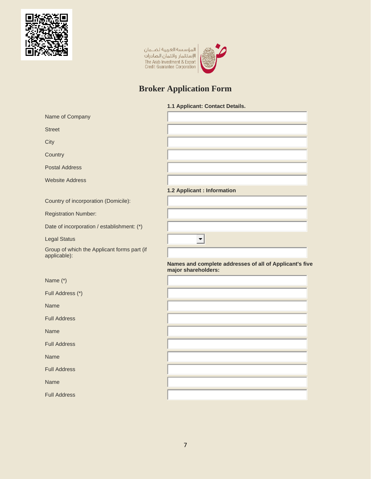

|<br>|المؤسسة العربية لضــــمان<br>|الإستثمار وائتمان الصادرات<br>|The Arab Investment & Export<br>|Credit Guarantee Corporation



# **Broker Application Form**

#### **1.1 Applicant: Contact Details.**

| Name of Company                                             |                                                                                |
|-------------------------------------------------------------|--------------------------------------------------------------------------------|
| <b>Street</b>                                               |                                                                                |
| City                                                        |                                                                                |
| Country                                                     |                                                                                |
| <b>Postal Address</b>                                       |                                                                                |
| <b>Website Address</b>                                      |                                                                                |
|                                                             | 1.2 Applicant : Information                                                    |
| Country of incorporation (Domicile):                        |                                                                                |
| <b>Registration Number:</b>                                 |                                                                                |
| Date of incorporation / establishment: (*)                  |                                                                                |
| <b>Legal Status</b>                                         | ▼∣                                                                             |
| Group of which the Applicant forms part (if<br>applicable): |                                                                                |
|                                                             |                                                                                |
|                                                             | Names and complete addresses of all of Applicant's five<br>major shareholders: |
| Name (*)                                                    |                                                                                |
| Full Address (*)                                            |                                                                                |
| Name                                                        |                                                                                |
| <b>Full Address</b>                                         |                                                                                |
| <b>Name</b>                                                 |                                                                                |
| <b>Full Address</b>                                         |                                                                                |
| Name                                                        |                                                                                |
| <b>Full Address</b>                                         |                                                                                |
| <b>Name</b>                                                 |                                                                                |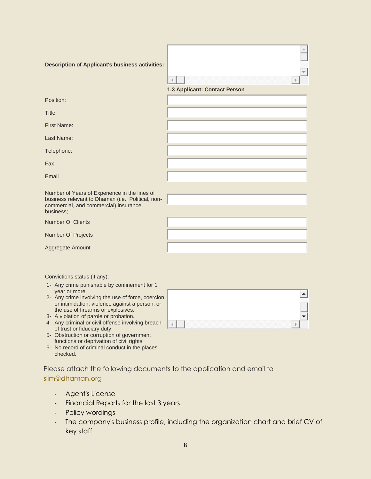| <b>Description of Applicant's business activities:</b>                                                                                                    | 4                             |
|-----------------------------------------------------------------------------------------------------------------------------------------------------------|-------------------------------|
|                                                                                                                                                           | 1.3 Applicant: Contact Person |
| Position:                                                                                                                                                 |                               |
| <b>Title</b>                                                                                                                                              |                               |
| <b>First Name:</b>                                                                                                                                        |                               |
| Last Name:                                                                                                                                                |                               |
| Telephone:                                                                                                                                                |                               |
| Fax                                                                                                                                                       |                               |
| Email                                                                                                                                                     |                               |
| Number of Years of Experience in the lines of<br>business relevant to Dhaman (i.e., Political, non-<br>commercial, and commercial) insurance<br>business; |                               |
| <b>Number Of Clients</b>                                                                                                                                  |                               |
| Number Of Projects                                                                                                                                        |                               |
| Aggregate Amount                                                                                                                                          |                               |
| Convictions status (if any):                                                                                                                              |                               |
| 1- Any crime punishable by confinement for 1                                                                                                              |                               |

- year or more 2- Any crime involving the use of force, coercion or intimidation, violence against a person, or the use of firearms or explosives.
- 3- A violation of parole or probation.
- 4- Any criminal or civil offense involving breach of trust or fiduciary duty.
- 5- Obstruction or corruption of government functions or deprivation of civil rights
- 6- No record of criminal conduct in the places checked.

Please attach the following documents to the application and email to [slim@dhaman.org](mailto:slim@dhaman.org)

- Agent's License
- Financial Reports for the last 3 years.
- Policy wordings
- The company's business profile, including the organization chart and brief CV of key staff.

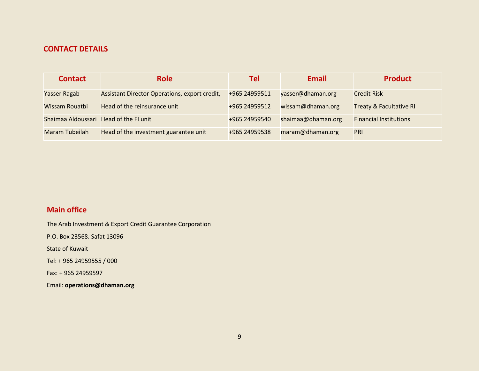# **CONTACT DETAILS**

| <b>Contact</b>                         | <b>Role</b>                                   | Tel           | <b>Email</b>       | <b>Product</b>                     |
|----------------------------------------|-----------------------------------------------|---------------|--------------------|------------------------------------|
| Yasser Ragab                           | Assistant Director Operations, export credit, | +965 24959511 | yasser@dhaman.org  | <b>Credit Risk</b>                 |
| Wissam Rouatbi                         | Head of the reinsurance unit                  | +965 24959512 | wissam@dhaman.org  | <b>Treaty &amp; Facultative RI</b> |
| Shaimaa Aldoussari Head of the FI unit |                                               | +965 24959540 | shaimaa@dhaman.org | <b>Financial Institutions</b>      |
| Maram Tubeilah                         | Head of the investment guarantee unit         | +965 24959538 | maram@dhaman.org   | <b>PRI</b>                         |

# **Main office**

The Arab Investment & Export Credit Guarantee Corporation

P.O. Box 23568. Safat 13096

State of Kuwait

Tel: + 965 24959555 / 000

Fax: + 965 24959597

Email: **operations@dhaman.org**